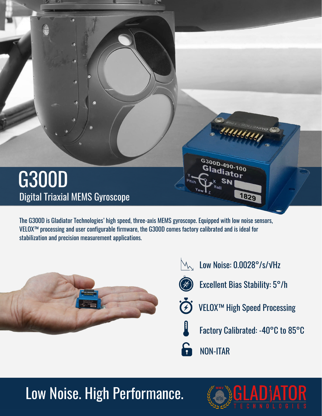

The G300D is Gladiator Technologies' high speed, three-axis MEMS gyroscope. Equipped with low noise sensors, VELOX™ processing and user configurable firmware, the G300D comes factory calibrated and is ideal for stabilization and precision measurement applications.





## Low Noise. High Performance.